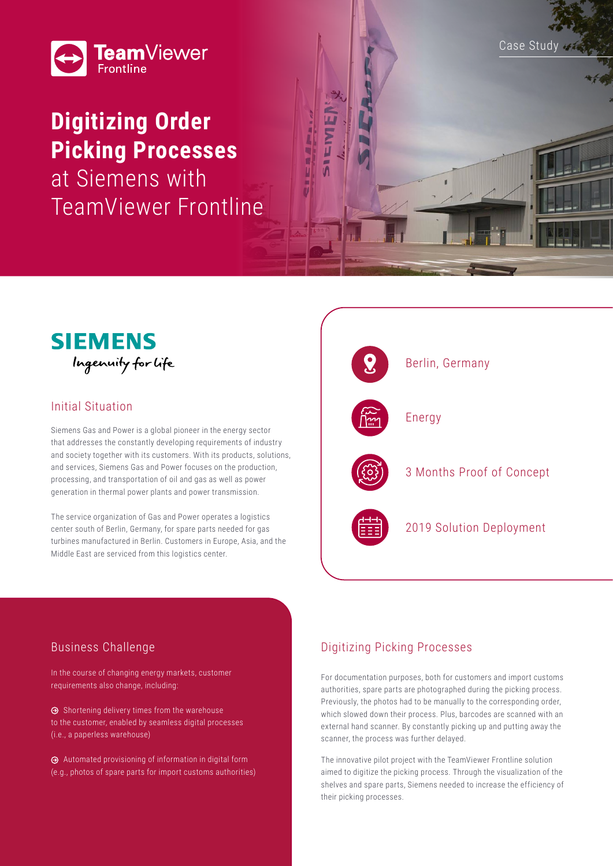

# **Digitizing Order Picking Processes**

at Siemens with TeamViewer Frontline





## Initial Situation

Siemens Gas and Power is a global pioneer in the energy sector that addresses the constantly developing requirements of industry and society together with its customers. With its products, solutions, and services, Siemens Gas and Power focuses on the production, processing, and transportation of oil and gas as well as power generation in thermal power plants and power transmission.

The service organization of Gas and Power operates a logistics center south of Berlin, Germany, for spare parts needed for gas turbines manufactured in Berlin. Customers in Europe, Asia, and the Middle East are serviced from this logistics center.



## Business Challenge

In the course of changing energy markets, customer requirements also change, including:

 $\Theta$  Shortening delivery times from the warehouse to the customer, enabled by seamless digital processes (i.e., a paperless warehouse)

 Automated provisioning of information in digital form (e.g., photos of spare parts for import customs authorities)

## Digitizing Picking Processes

For documentation purposes, both for customers and import customs authorities, spare parts are photographed during the picking process. Previously, the photos had to be manually to the corresponding order, which slowed down their process. Plus, barcodes are scanned with an external hand scanner. By constantly picking up and putting away the scanner, the process was further delayed.

The innovative pilot project with the TeamViewer Frontline solution aimed to digitize the picking process. Through the visualization of the shelves and spare parts, Siemens needed to increase the efficiency of their picking processes.